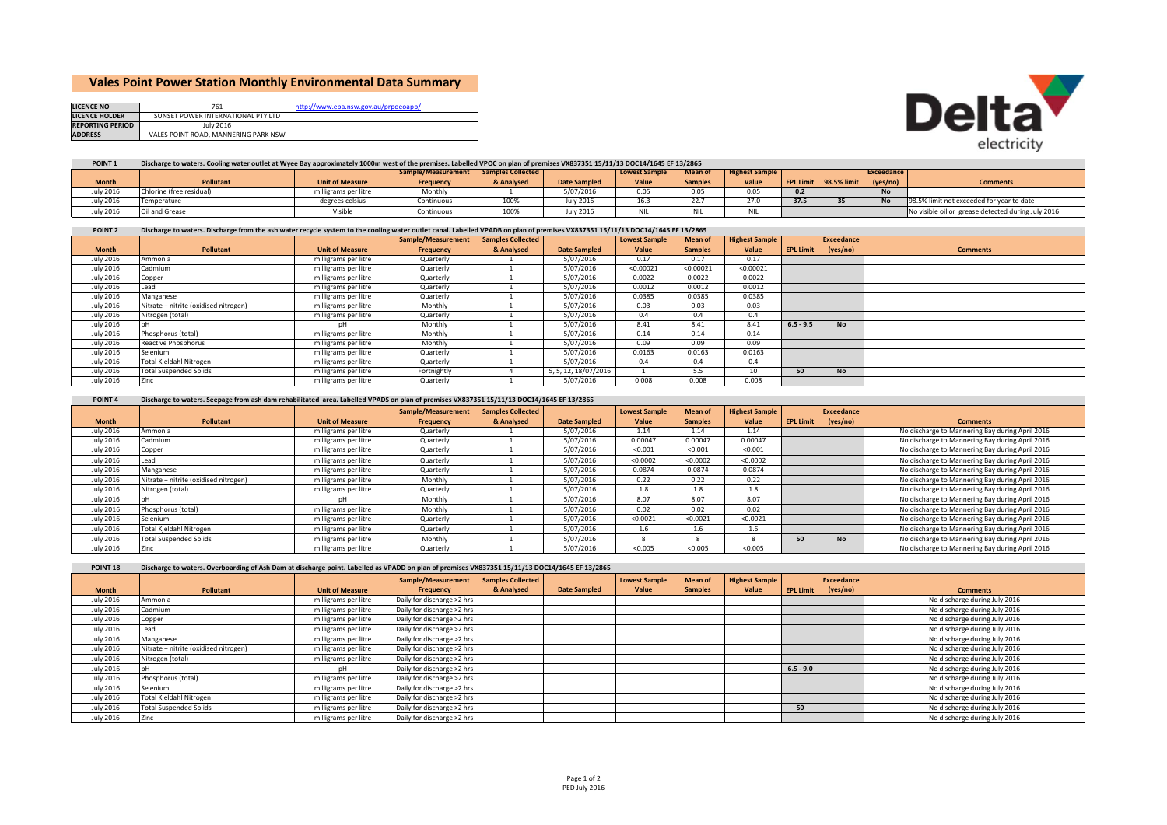# **Vales Point Power Station Monthly Environmental Data Summary**

| <b>LICENCE NO</b>       | 761                                  | http://www.epa.nsw.gov.au/prpoeoapp/ |
|-------------------------|--------------------------------------|--------------------------------------|
| LICENCE HOLDER          | SUNSET POWER INTERNATIONAL PTY LTD   |                                      |
| <b>REPORTING PERIOD</b> | July 2016                            |                                      |
| <b>ADDRESS</b>          | VALES POINT ROAD, MANNERING PARK NSW |                                      |



#### **POINT 1**Discharge to waters. Cooling water outlet at Wyee Bay approximately 1000m west of the premises. Labelled VPOC on plan of premises VX837351 15/11/13 DOC14/1645 EF 13/2865

|                  |                          |                        | Sample/Measurement   Samples Collected |            |                     | <b>Lowest Sample</b> | <b>Mean of</b> | <b>Highest Sample</b> |      |                       | Exceedance |                                                    |
|------------------|--------------------------|------------------------|----------------------------------------|------------|---------------------|----------------------|----------------|-----------------------|------|-----------------------|------------|----------------------------------------------------|
| <b>Month</b>     | <b>Pollutant</b>         | <b>Unit of Measure</b> | Frequency                              | & Analysed | <b>Date Sampled</b> | Value                | <b>Samples</b> | Value                 |      | EPL Limit 98.5% limit | (yes/no)   | <b>Comments</b>                                    |
| July 2016        | Chlorine (free residual) | milligrams per litre   | Monthly                                |            | 5/07/2016           | 0.05                 | 0.05           |                       | 0.2  |                       | <b>No</b>  |                                                    |
| <b>July 2016</b> | Temperature              | degrees celsius        | Continuous                             | 100%       | ulv 2016            | 10.7<br>10.5         | 22.7           | 27.0                  | 37.5 |                       |            | 198.5% limit not exceeded for year to date         |
| July 2016        | Oil and Grease           | Visible                | Continuous                             | 100%       | uly 2016            | <b>NIL</b>           | <b>NIL</b>     | <b>NIL</b>            |      |                       |            | No visible oil or grease detected during July 2016 |

#### **The Co POINT**Discharge to waters. Discharge from the ash water recycle system to the cooling water outlet canal. Labelled VPADB on plan of premises VX837351 15/11/13 DOC14/1645 EF 13/2865

|                  |                                       |                        | Sample/Measurement | <b>Samples Collected</b> |                     | <b>Lowest Sample</b> | Mean of        | <b>Highest Sample</b> |                  | Exceedance |                 |
|------------------|---------------------------------------|------------------------|--------------------|--------------------------|---------------------|----------------------|----------------|-----------------------|------------------|------------|-----------------|
| <b>Month</b>     | Pollutant                             | <b>Unit of Measure</b> | Frequency          | & Analysed               | <b>Date Sampled</b> | Value                | <b>Samples</b> | Value                 | <b>EPL Limit</b> | (yes/no)   | <b>Comments</b> |
| <b>July 2016</b> | Ammonia                               | milligrams per litre   | Quarterly          |                          | 5/07/2016           | 0.17                 | 0.17           | 0.17                  |                  |            |                 |
| <b>July 2016</b> | Cadmium                               | milligrams per litre   | Quarterly          |                          | 5/07/2016           | < 0.00021            | < 0.00021      | < 0.00021             |                  |            |                 |
| <b>July 2016</b> | Copper                                | milligrams per litre   | Quarterly          |                          | 5/07/2016           | 0.0022               | 0.0022         | 0.0022                |                  |            |                 |
| <b>July 2016</b> | Lead                                  | milligrams per litre   | Quarterly          |                          | 5/07/2016           | 0.0012               | 0.0012         | 0.0012                |                  |            |                 |
| <b>July 2016</b> | Manganese                             | milligrams per litre   | Quarterly          |                          | 5/07/2016           | 0.0385               | 0.0385         | 0.0385                |                  |            |                 |
| <b>July 2016</b> | Nitrate + nitrite (oxidised nitrogen) | milligrams per litre   | Monthly            |                          | 5/07/2016           | 0.03                 | 0.03           | 0.03                  |                  |            |                 |
| <b>July 2016</b> | Nitrogen (total)                      | milligrams per litre   | Quarterly          |                          | 5/07/2016           | 0.4                  | 0.4            | 0.4                   |                  |            |                 |
| <b>July 2016</b> |                                       |                        | Monthly            |                          | 5/07/2016           | 8.41                 | 8.41           | 8.41                  | $6.5 - 9.5$      | <b>No</b>  |                 |
| <b>July 2016</b> | Phosphorus (total)                    | milligrams per litre   | Monthly            |                          | 5/07/2016           | 0.14                 | 0.14           | 0.14                  |                  |            |                 |
| <b>July 2016</b> | Reactive Phosphorus                   | milligrams per litre   | Monthly            |                          | 5/07/2016           | 0.09                 | 0.09           | 0.09                  |                  |            |                 |
| <b>July 2016</b> | Selenium                              | milligrams per litre   | Quarterly          |                          | 5/07/2016           | 0.0163               | 0.0163         | 0.0163                |                  |            |                 |
| <b>July 2016</b> | <b>Total Kieldahl Nitrogen</b>        | milligrams per litre   | Quarterly          |                          | 5/07/2016           | 0.4                  | 0.4            | 0.4                   |                  |            |                 |
| <b>July 2016</b> | <b>Total Suspended Solids</b>         | milligrams per litre   | Fortnightly        |                          | , 5, 12, 18/07/2016 |                      | 5.5            | 10                    | 50               | <b>No</b>  |                 |
| <b>July 2016</b> | .inc                                  | milligrams per litre   | Quarterly          |                          | 5/07/2016           | 0.008                | 0.008          | 0.008                 |                  |            |                 |

## POINT 4 Discharge to waters. Seepage from ash dam rehabilitated area. Labelled VPADS on plan of premises VX837351 15/11/13 DOC14/1645 EF 13/2865

|                  |                                       |                        | Sample/Measurement | <b>Samples Collected</b> |                     | <b>Lowest Sample</b> | <b>Mean of</b> | <b>Highest Sample</b> |                  | Exceedance |                                                 |
|------------------|---------------------------------------|------------------------|--------------------|--------------------------|---------------------|----------------------|----------------|-----------------------|------------------|------------|-------------------------------------------------|
| <b>Month</b>     | Pollutant                             | <b>Unit of Measure</b> | Frequency          | & Analysed               | <b>Date Sampled</b> | Value                | <b>Samples</b> | Value                 | <b>EPL Limit</b> | (yes/no)   | <b>Comments</b>                                 |
| <b>July 2016</b> | Ammonia                               | milligrams per litre   | Quarterly          |                          | 5/07/2016           | 1.14                 | 1.14           | 1.14                  |                  |            | No discharge to Mannering Bay during April 2016 |
| <b>July 2016</b> | Cadmium                               | milligrams per litre   | Quarterly          |                          | 5/07/2016           | 0.00047              | 0.00047        | 0.00047               |                  |            | No discharge to Mannering Bay during April 2016 |
| <b>July 2016</b> | Copper                                | milligrams per litre   | Quarterly          |                          | 5/07/2016           | < 0.001              | < 0.001        | < 0.001               |                  |            | No discharge to Mannering Bay during April 2016 |
| <b>July 2016</b> | Lead                                  | milligrams per litre   | Quarterly          |                          | 5/07/2016           | < 0.0002             | < 0.0002       | < 0.0002              |                  |            | No discharge to Mannering Bay during April 2016 |
| <b>July 2016</b> | Manganese                             | milligrams per litre   | Quarterly          |                          | 5/07/2016           | 0.0874               | 0.0874         | 0.0874                |                  |            | No discharge to Mannering Bay during April 2016 |
| <b>July 2016</b> | Nitrate + nitrite (oxidised nitrogen) | milligrams per litre   | Monthly            |                          | 5/07/2016           | 0.22                 | 0.22           | 0.22                  |                  |            | No discharge to Mannering Bay during April 2016 |
| <b>July 2016</b> | Nitrogen (total)                      | milligrams per litre   | Quarterly          |                          | 5/07/2016           | 1.8                  | 1.8            | 1.8                   |                  |            | No discharge to Mannering Bay during April 2016 |
| <b>July 2016</b> |                                       |                        | Monthly            |                          | 5/07/2016           | 8.07                 | 8.07           | 8.07                  |                  |            | No discharge to Mannering Bay during April 2016 |
| <b>July 2016</b> | Phosphorus (total)                    | milligrams per litre   | Monthly            |                          | 5/07/2016           | 0.02                 | 0.02           | 0.02                  |                  |            | No discharge to Mannering Bay during April 2016 |
| <b>July 2016</b> | Selenium                              | milligrams per litre   | Quarterly          |                          | 5/07/2016           | < 0.0021             | < 0.0021       | < 0.0021              |                  |            | No discharge to Mannering Bay during April 2016 |
| <b>July 2016</b> | Total Kjeldahl Nitrogen               | milligrams per litre   | Quarterly          |                          | 5/07/2016           | 1.6                  | 1.6            | 1.6                   |                  |            | No discharge to Mannering Bay during April 2016 |
| <b>July 2016</b> | <b>Total Suspended Solids</b>         | milligrams per litre   | Monthly            |                          | 5/07/2016           |                      |                |                       | 50               | <b>No</b>  | No discharge to Mannering Bay during April 2016 |
| <b>July 2016</b> | Zinc                                  | milligrams per litre   | Quarterly          |                          | 5/07/2016           | < 0.005              | < 0.005        | < 0.005               |                  |            | No discharge to Mannering Bay during April 2016 |

| POINT <sub>18</sub> | Discharge to waters. Overboarding of Ash Dam at discharge point. Labelled as VPADD on plan of premises VX837351 15/11/13 DOC14/1645 EF 13/2865 |                        |                            |                          |                     |                      |                |                       |             |            |                               |
|---------------------|------------------------------------------------------------------------------------------------------------------------------------------------|------------------------|----------------------------|--------------------------|---------------------|----------------------|----------------|-----------------------|-------------|------------|-------------------------------|
|                     |                                                                                                                                                |                        | Sample/Measurement         | <b>Samples Collected</b> |                     | <b>Lowest Sample</b> | <b>Mean of</b> | <b>Highest Sample</b> |             | Exceedance |                               |
| <b>Month</b>        | <b>Pollutant</b>                                                                                                                               | <b>Unit of Measure</b> | Frequency                  | & Analysed               | <b>Date Sampled</b> | Value                | <b>Samples</b> | Value                 | EPL Limit   | (yes/no)   | <b>Comments</b>               |
| <b>July 2016</b>    | Ammonia                                                                                                                                        | milligrams per litre   | Daily for discharge >2 hrs |                          |                     |                      |                |                       |             |            | No discharge during July 2016 |
| <b>July 2016</b>    | Cadmium                                                                                                                                        | milligrams per litre   | Daily for discharge >2 hrs |                          |                     |                      |                |                       |             |            | No discharge during July 2016 |
| <b>July 2016</b>    | Copper                                                                                                                                         | milligrams per litre   | Daily for discharge >2 hrs |                          |                     |                      |                |                       |             |            | No discharge during July 2016 |
| <b>July 2016</b>    | ead                                                                                                                                            | milligrams per litre   | Daily for discharge >2 hrs |                          |                     |                      |                |                       |             |            | No discharge during July 2016 |
| <b>July 2016</b>    | Manganese                                                                                                                                      | milligrams per litre   | Daily for discharge >2 hrs |                          |                     |                      |                |                       |             |            | No discharge during July 2016 |
| <b>July 2016</b>    | Nitrate + nitrite (oxidised nitrogen)                                                                                                          | milligrams per litre   | Daily for discharge >2 hrs |                          |                     |                      |                |                       |             |            | No discharge during July 2016 |
| <b>July 2016</b>    | Nitrogen (total)                                                                                                                               | milligrams per litre   | Daily for discharge >2 hrs |                          |                     |                      |                |                       |             |            | No discharge during July 2016 |
| <b>July 2016</b>    |                                                                                                                                                | рH                     | Daily for discharge >2 hrs |                          |                     |                      |                |                       | $6.5 - 9.0$ |            | No discharge during July 2016 |
| <b>July 2016</b>    | Phosphorus (total)                                                                                                                             | milligrams per litre   | Daily for discharge >2 hrs |                          |                     |                      |                |                       |             |            | No discharge during July 2016 |
| <b>July 2016</b>    | Selenium                                                                                                                                       | milligrams per litre   | Daily for discharge >2 hrs |                          |                     |                      |                |                       |             |            | No discharge during July 2016 |
| <b>July 2016</b>    | Total Kjeldahl Nitrogen                                                                                                                        | milligrams per litre   | Daily for discharge >2 hrs |                          |                     |                      |                |                       |             |            | No discharge during July 2016 |
| <b>July 2016</b>    | <b>Total Suspended Solids</b>                                                                                                                  | milligrams per litre   | Daily for discharge >2 hrs |                          |                     |                      |                |                       | 50          |            | No discharge during July 2016 |
| July 2016           |                                                                                                                                                | milligrams per litre   | Daily for discharge >2 hrs |                          |                     |                      |                |                       |             |            | No discharge during July 2016 |